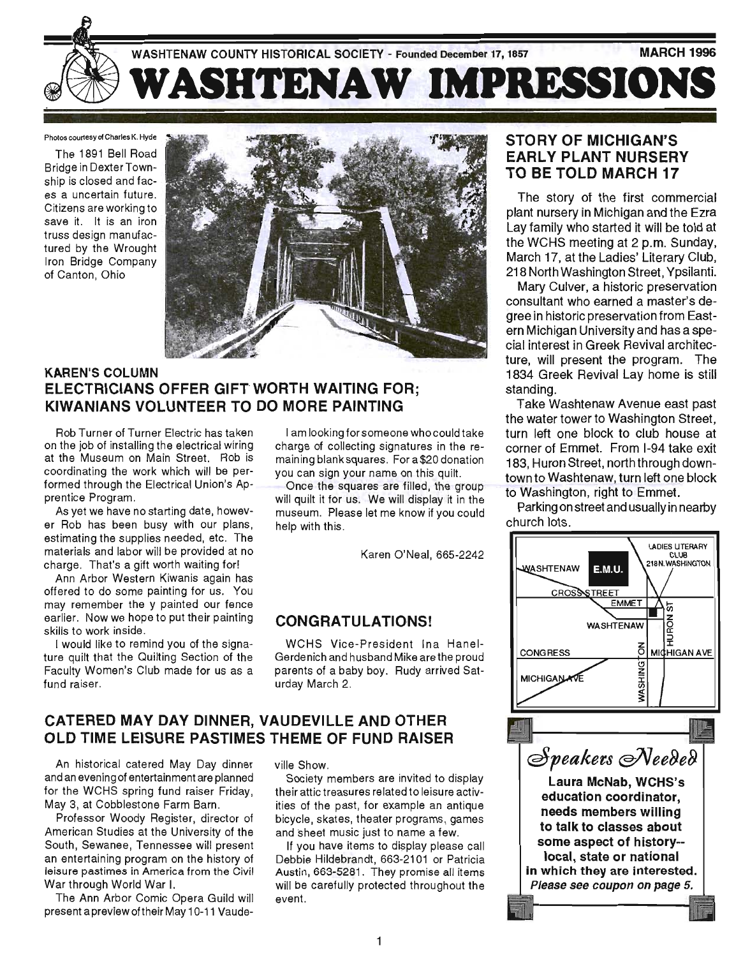

Photos courtesy of Charles K. Hyde

The 1891 Bell Road Bridge in Dexter Township is closed and faces a uncertain future. Citizens are working to save it. It is an iron truss design manufactured by the Wrought Iron Bridge Company of Canton, Ohio



# KAREN'S COLUMN **ELECTRICIANS OFFER GIFT WORTH WAITING FOR:** KIWANIANS VOLUNTEER TO DO MORE PAINTING

Rob Turner of Turner Electric has taken on the job of installing the electrical wiring at the Museum on Main Street. Rob is coordinating the work which will be performed through the Electrical Union's Apprentice Program.

As yet we have no starting date, however Rob has been busy with our plans, estimating the supplies needed, etc. The materials and labor will be provided at no charge. That's a gift worth waiting for!

Ann Arbor Western Kiwanis again has offered to do some painting for us. You may remember the y painted our fence earlier. Now we hope to put their painting skills to work inside.

I would like to remind you of the signature quilt that the Quilting Section of the Faculty Women's Club made for us as a fund raiser.

I am looking for someone who could take charge of collecting signatures in the remaining blanksquares. For a\$20 donation you can sign your name on this quilt.

Once the squares are filled, the group will quilt it for us. We will display it in the museum. Please let me know if you could help with this.

Karen O'Neal, 665-2242

# CONGRATULATIONS!

WCHS Vice-President Ina Hanel-Gerdenich and husband Mike are the proud parents of a baby boy. Rudy arrived Saturday March 2.

# CATERED MAY DAY DINNER, VAUDEVILLE AND OTHER OLD TIME LEISURE PASTIMES THEME OF FUND RAISER

An historical catered May Day dinner and an evening of entertainment are planned for the WCHS spring fund raiser Friday, May 3, at Cobblestone Farm Barn .

Professor Woody Register, director of American Studies at the University of the South, Sewanee, Tennessee will present an entertaining program on the history of leisure pastimes in America from the Civil War through World War I.

The Ann Arbor Comic Opera Guild will present a preview of their May 10-11 Vaudeville Show.

Society members are invited to display their attic treasures related to leisure activities of the past, for example an antique bicycle, skates, theater programs, games and sheet music just to name a few.

If you have items to display please call Debbie Hildebrandt, 663-2101 or Patricia Austin, 663-5281. They promise all items will be carefully protected throughout the event.

# STORY OF MICHIGAN'S EARLY PLANT NURSERY TO BE TOLD MARCH 17

The story of the first commercial plant nursery in Michigan and the Ezra Lay family who started it will be told at the WCHS meeting at 2 p.m. Sunday, March 17, at the Ladies' Literary Club, 218 North Washington Street, Ypsilanti.

Mary Culver, a historic preservation consultant who earned a master's degree in historic preservation from Eastern Michigan University and has a special interest in Greek Revival architecture, will present the program. The 1834 Greek Revival Lay home is still standing.

Take Washtenaw Avenue east past the water tower to Washington Street, turn left one block to club house at corner of Emmet. From 1-94 take exit 183, Huron Street, north through downtown to Washtenaw, turn left one block to Washington, right to Emmet.

Parking on street and usually in nearby church lots.

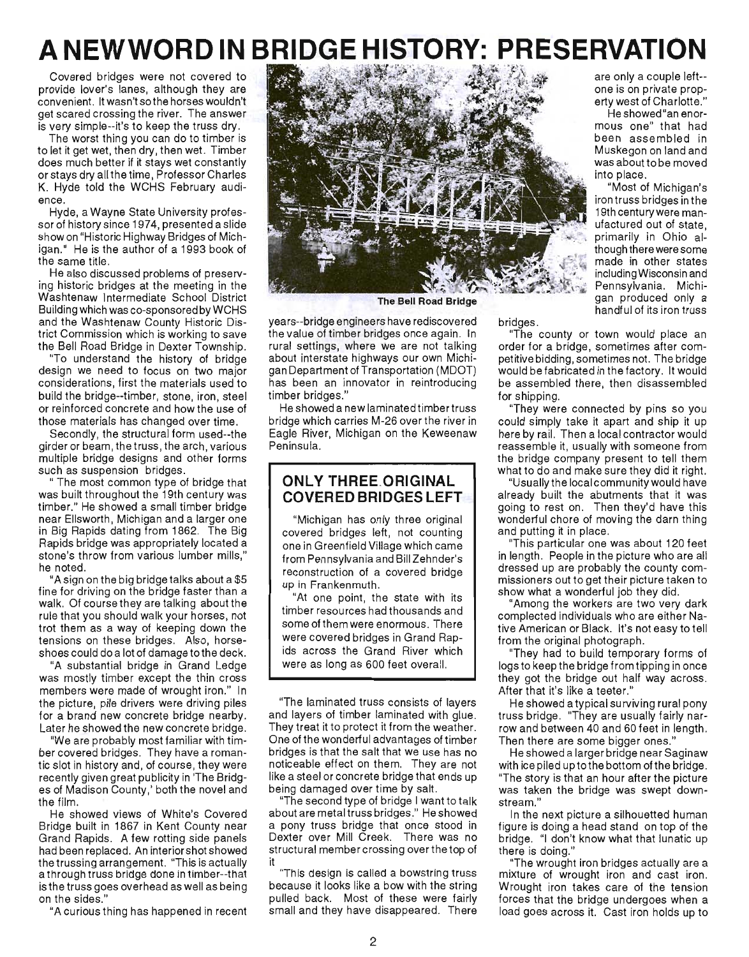# **A NEWWORD IN BRIDGE HISTORY: PRESERVATION**

Covered bridges were not covered to provide lover's lanes, although they are convenient. It wasn't so the horses wouldn't get scared crossing the river. The answer is very simple--it's to keep the truss dry.

The worst thing you can do to timber is to let it get wet, then dry, then wet. Timber does much better if it stays wet constantly or stays dry all the time, Professor Charles K. Hyde told the WCHS February audience.

Hyde, a Wayne State University professor of history since 1974, presented a slide show on "Historic Highway Bridges of Michigan." He is the author of a 1993 book of the same title.

He also discussed problems of preserving historic bridges at the meeting in the Washtenaw Intermediate School District Building which was co-sponsored by WCHS and the Washtenaw County Historic District Commission which is working to save the Bell Road Bridge in Dexter Township.

"To understand the history of bridge design we need to focus on two major considerations , first the materials used to build the bridge--timber, stone, iron, steel or reinforced concrete and how the use of those materials has changed over time.

Secondly, the structural form used--the girder or beam, the truss, the arch, various multiple bridge designs and other forms such as suspension bridges .

" The most common type of bridge that was built throughout the 19th century was timber." He showed a small timber bridge near Ellsworth, Michigan and a larger one in Big Rapids dating from 1862. The Big Rapids bridge was appropriately located a stone's throw from various lumber mills," he noted.

"A sign on the big bridge talks about a \$5 fine for driving on the bridge faster than a walk. Of course they are talking about the rule that you should walk your horses, not trot them as a way of keeping down the tensions on these bridges. Also, horseshoes could do a lot of damage tothe deck.

"A substantial bridge in Grand Ledge was mostly timber except the thin cross members were made of wrought iron." In the picture, pile drivers were driving piles for a brand new concrete bridge nearby. Later he showed the new concrete bridge.

"We are probably most familiar with timber covered bridges. They have a romantic slot in history and, of course, they were recently given great publicity in The Bridges of Madison County,' both the novel and the film.

He showed views of White's Covered Bridge built in 1867 in Kent County near Grand Rapids. A few rotting side panels had been replaced. An interior shot showed the trussing arrangement. "This is actually a through truss bridge done in timber--that is the truss goes overhead as well as being on the sides."

"A curious thing has happened in recent



The Bell Road Bridge

years--bridge engineers have rediscovered the value of timber bridges once again. In rural settings, where we are not talking about interstate highways our own Michigan Department of Transportation (MOOT) has been an innovator in reintroducing timber bridges."

He showed a new laminated timber truss bridge which carries M-26 over the river in Eagle River, Michigan on the Keweenaw Peninsula.

# **ONLY THREE\_ORIGINAL COVERED BRIDGES LEFT**

"Michigan has only three original covered bridges left, not counting one in Greenfield Village which came from Pennsylvania and Bill Zehnder's reconstruction of a covered bridge up in Frankenmuth.

"At one point, the state with its timber resources had thousands and some of them were enormous. There were covered bridges in Grand Rapids across the Grand River which were as long as 600 feet overall.

"The laminated truss consists of layers and layers of timber laminated with glue. They treat it to protect it from the weather. One of the wonderful advantages of timber bridges is that the salt that we use has no noticeable effect on them. They are not like a steel or concrete bridge that ends up being damaged over time by salt.

"The second type of bridge I want to talk about are metal truss bridges ." He showed a pony truss bridge that once stood in Dexter over Mill Creek. There was no structural member crossing over the top of it

"This design is called a bowstring truss because it looks like a bow with the string pulled back. Most of these were fairly small and they have disappeared. There bridges.

are only a couple left- one is on private property west of Charlotte."

He showed "an enormous one" that had been assembled in Muskegon on land and was about to be moved into place.

"Most of Michigan's iron truss bridges in the 19th century were manufactured out of state, primarily in Ohio although there were some made in other states including Wisconsin and Pennsylvania. Michigan produced only a handful of its iron truss

"The county or town would place an order for a bridge, sometimes after competitive bidding, sometimes not. The bridge would be fabricated in the factory. It would be assembled there, then disassembled for shipping.

They were connected by pins so you could simply take it apart and ship it up here by rail. Then a local contractor would reassemble it, usually with someone from the bridge company present to tell them what to do and make sure they did it right.

"Usually the local community would have already built the abutments that it was going to rest on. Then they'd have this wonderful chore of moving the darn thing and putting it in place.

"This particular one was about 120 feet in length. People in the picture who are all dressed up are probably the county commissioners out to get their picture taken to show what a wonderful job they did.

"Among the workers are two very dark complected individuals who are either Native American or Black. It's not easy to tell from the original photograph.

"They had to build temporary forms of logs to keep the bridge from tipping in once they got the bridge out half way across. After that it's like a teeter."

He showed a typical surviving rural pony truss bridge. "They are usually fairly narrow and between 40 and 60 feet in length. Then there are some bigger ones."

He showed a larger bridge near Saginaw with ice piled uptothe bottom ofthe bridge. "The story is that an hour after the picture was taken the bridge was swept downstream."

In the next picture a silhouetted human figure is doing a head stand on top of the bridge. "I don't know what that lunatic up there is doing."

"The wrought iron bridges actually are a mixture of wrought iron and cast iron. Wrought iron takes care of the tension forces that the bridge undergoes when a load goes across it. Cast iron holds up to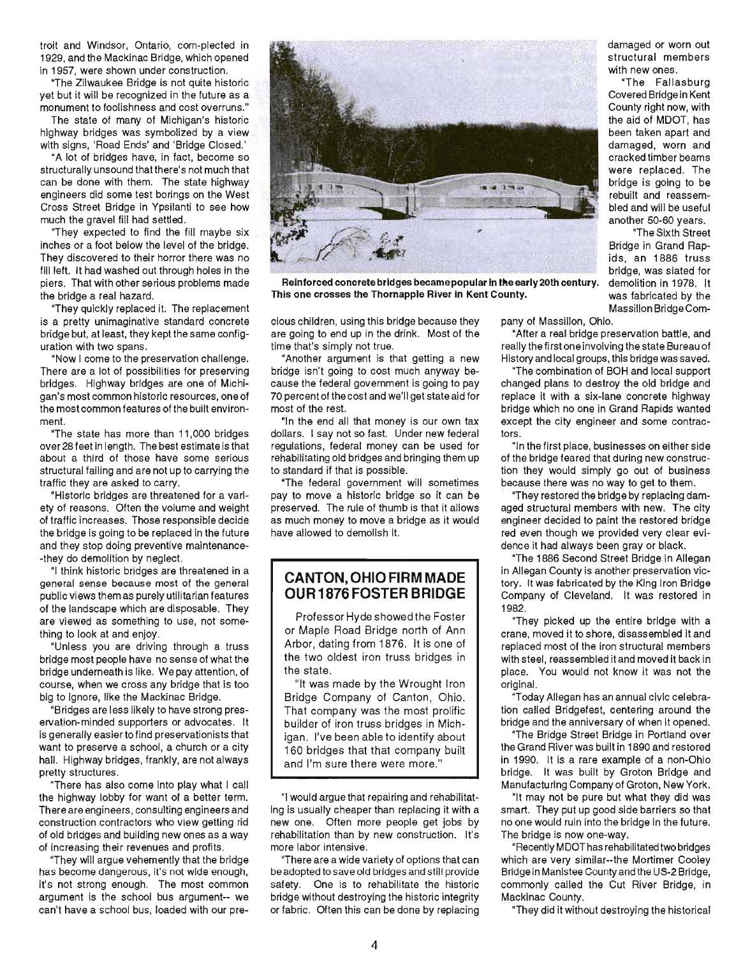troit and Windsor, Ontario, com-plected in 1929, and the Mackinac Bridge, which opened in 1957, were shown under construction.

"The Zilwaukee Bridge is not quite historic yet but it will be recognized in the future as a monument to foolishness and cost overruns."

The state of many of Michigan's historic highway bridges was symbolized by a view with signs, 'Road Ends' and 'Bridge Closed.'

"A lot of bridges have, in fact, become so structurally unsound that there's not much that can be done with them. The state highway engineers did some test borings on the West Cross Street Bridge in Ypsilanti to see how much the gravel fill had settled.

"They expected to find the fill maybe six inches or a foot below the level of the bridge. They discovered to their horror there was no fill left. It had washed out through holes in the piers. That with other serious problems made the bridge a real hazard.

"They quickly replaced it. The replacement is a pretty unimaginative standard concrete bridge but, at least, they kept the same configuration with two spans.

"Now I come to the preservation challenge. There are a lot of possibilities for preserving bridges. Highway bridges are one of Michigan's most common historic resources, one of the most common features of the built environment.

"The state has more than 11,000 bridges over 28 feet in length. The best estimate is that about a third of those have some serious structural failing and are not up to carrying the traffic they are asked to carry.

"Historic bridges are threatened for a variety of reasons. Often the volume and weight of traffic increases. Those responsible decide the bridge is going to be replaced in the future and they stop doing preventive maintenance- -they do demolition by neglect.

"I think historic bridges are threatened in a general sense because most of the general public views them as purely utilitarian features of the landscape which are disposable. They are viewed as something to use, not something to look at and enjoy.

"Unless you are driving through a truss bridge most people have no sense of what the bridge undemeath is like. We pay attention, of course, when we cross any bridge that is too big to ignore, like the Mackinac Bridge.

"Bridges are less likely to have strong preservation-minded supporters or advocates. It is generally easier to find preservationists that want to preserve a school, a church or a city hall. Highway bridges, frankly, are not always pretty structures.

"There has also come into play what I call the highway lobby for want of a better term. There are engineers, consulting engineers and construction contractors who view getting rid of old bridges and building new ones as a way of increasing their revenues and profits.

"They will argue vehemently that the bridge has become dangerous, it's not wide enough, it's not strong enough. The most common argument is the school bus argument-- we can't have a school bus, loaded with our pre-



Reinforced concrete bridges became popular in the early 20th century. demolition in 1978. It This one crosses the Thornapple River in Kent County. was fabricated by the

cious children, using this bridge because they are going to end up in the drink. Most of the time that's simply not true.

"Another argument is that getting a new bridge isn't going to cost much anyway because the federal government is going to pay 70 percent of the cost and we'll get state aid for most of the rest.

"In the end all that money is our own tax dollars. I say not so fast. Under new federal regulations, federal money can be used for rehabilitating old bridges and bringing them up to standard if that is possible.

"The federal government will sometimes pay to move a historic bridge so it can be preserved. The rule of thumb is that it allows as much money to move a bridge as it would have allowed to demolish it.

#### **CANTON, OHIO FIRM MADE OUR 1876 FOSTER BRIDGE**

Professor Hyde showed the Foster or Maple Road Bridge north of Ann Arbor, dating from 1876. It is one of the two oldest iron truss bridges in the state.

"It was made by the Wrought Iron Bridge Company of Canton, Ohio. That company was the most prolific builder of iron truss bridges in Michigan. I've been able to identify about 160 bridges that that company built and I'm sure there were more."

"I would argue that repairing and rehabilitating is usually cheaper than replacing it with a new one. Often more people get jobs by rehabilitation than by new construction. It's more labor intensive.

"There are a wide variety of options that can be adopted to save old bridges and still provide safety. One is to rehabilitate the historic bridge without destroying the historic integrity or fabric. Often this can be done by replacing

damaged or worn out structural members with new ones.

"The Fallasburg Covered Bridge in Kent County right now, with the aid of MDOT, has been taken apart and damaged, worn and cracked timber beams were replaced. The bridge is going to be rebuilt and reassembled and will be useful another 50-60 years.

"The Sixth Street Bridge in Grand Rapids, an 1886 truss bridge, was slated for Massillon Bridge Com-

pany of Massillon, Ohio.

"After a real bridge preservation battle, and really the first one involving the state Bureau of History and local groups, this bridge was saved.

"The combination of BOH and local support changed plans to destroy the old bridge and replace it with a six-lane concrete highway bridge which no one in Grand Rapids wanted except the city engineer and some contractors.

"In the first place, businesses on either side of the bridge feared that during new construction they would simply go out of business because there was no way to get to them.

"They restored the bridge by replacing damaged structural members with new. The city engineer decided to paint the restored bridge red even though we provided very clear evidence it had always been gray or black.

"The 1886 Second Street Bridge in Allegan in Allegan County is another preservation victory. It was fabricated by the King Iron Bridge Company of Cleveland. It was restored in 1982.

"They picked up the entire bridge with a crane, moved it to shore, disassembled it and replaced most of the iron structural members with steel, reassembled it and moved it back in place. You would not know it was not the original.

"Today Allegan has an annual civic celebration called Bridgefest, centering around the bridge and the anniversary of when it opened.

"The Bridge Street Bridge in Portland over the Grand River was built in 1890 and restored in 1990. It is a rare example of a non-Ohio bridge. It was built by Groton Bridge and Manufacturing Company of Groton, New York.

"It may not be pure but what they did was smart. They put up good side barriers so that no one would ruin into the bridge in the future. The bridge is now one-way.

"Recently MDOThas rehabilitated two bridges which are very similar--the Mortimer Cooley Bridge in Manistee County and the US-2 Bridge, commonly called the Cut River Bridge, in Mackinac County.

"They did it without destroying the historical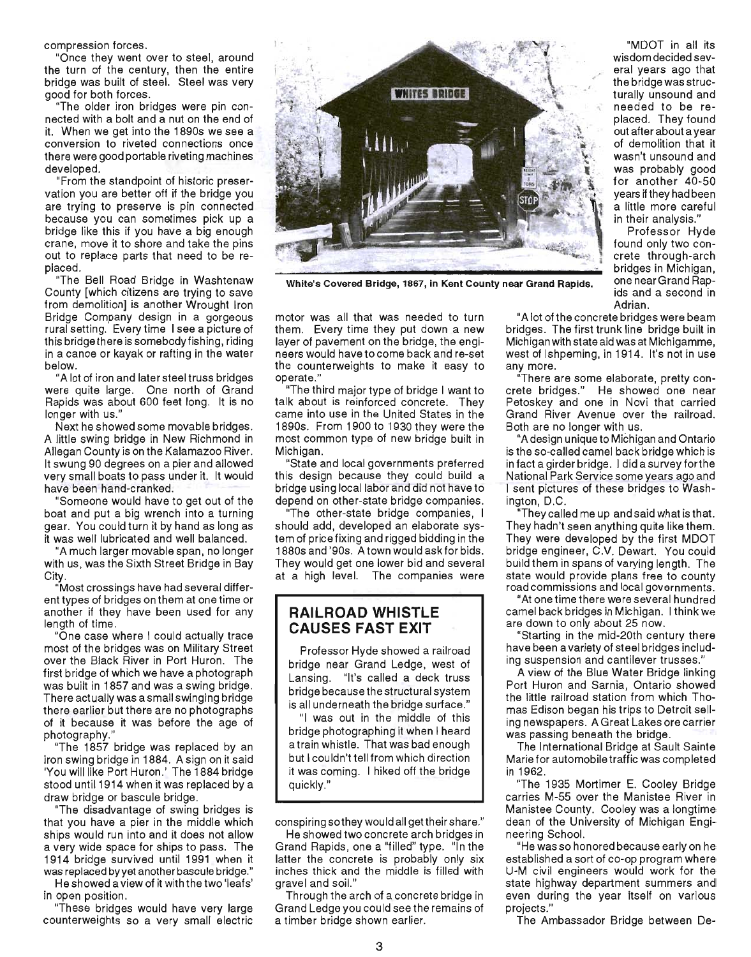compression forces.

"Once they went over to steel, around the turn of the century, then the entire bridge was built of steel. Steel was very good for both forces .

"The older iron bridges were pin connected with a bolt and a nut on the end of it. When we get into the 1890s we see a conversion to riveted connections once there were good portable riveting machines developed.

"From the standpoint of historic preservation you are better off if the bridge you are trying to preserve is pin connected because you can sometimes pick up a bridge like this if you have a big enough crane, move it to shore and take the pins out to replace parts that need to be replaced.

"The Bell Road Bridge in Washtenaw County [which citizens are trying to save from demolition] is another Wrought Iron Bridge Company design in a gorgeous rural setting. Every time I see a picture of this bridge there is somebody fishing, riding in a canoe or kayak or rafting in the water below.

"A lot of iron and later steel truss bridges were quite large. One north of Grand Rapids was about 600 feet long. It is no longer with us."

Next he showed some movable bridges. A little swing bridge in New Richmond in Allegan County is on the Kalamazoo River. It swung 90 degrees on a pier and allowed very small boats to pass under it. It would have been hand-cranked.

"Someone would have to get out of the boat and put a big wrench into a turning gear. You could turn it by hand as long as it was well lubricated and well balanced.

"A much larger movable span, no longer with us, was the Sixth Street Bridge in Bay City.

"Most crossings have had several different types of bridges on them at one time or another if they have been used for any length of time .

"One case where I could actually trace most of the bridges was on Military Street over the Black River in Port Huron. The first bridge of which we have a photograph was built in 1857 and was a swing bridge. There actually was a small swinging bridge there earlier but there are no photographs of it because it was before the age of photography.

"The 1857 bridge was replaced by an iron swing bridge in 1884. A sign on it said 'You will like Port Huron.' The 1884 bridge stood until 1914 when it was replaced by a draw bridge or bascule bridge.

"The disadvantage of swing bridges is that you have a pier in the middle which ships would run into and it does not allow a very wide space for ships to pass. The 1914 bridge survived until 1991 when it was replaced by yet another bascule bridge."

He showed a view of it with the two 'leafs' in open position.

"These bridges would have very large counterweights so a very small electric



White's Covered Bridge, 1867, in Kent County near Grand Rapids. One near Grand Rap-

motor was all that was needed to turn them. Every time they put down a new layer of pavement on the bridge, the engineers would have to come back and re-set the counterweights to make it easy to operate."

"The third major type of bridge I want to talk about is reinforced concrete. They came into use in the United States in the 1890s. From 1900 to 1930 they were the most common type of new bridge built in Michigan.

"State and local governments preferred this design because they could build a bridge using local labor and did not have to depend on other-state bridge companies.

"The other-state bridge companies, I should add, developed an elaborate system of price fixing and rigged bidding in the 1880s and '90s. A town would askfor bids. They would get one lower bid and several at a high level. The companies were

#### **RAILROAD WHISTLE CAUSES FAST EXIT**

Professor Hyde showed a railroad bridge near Grand Ledge, west of Lansing. "It's called a deck truss bridge because the structural system is all underneath the bridge surface."

"I was out in the middle of this bridge photographing it when I heard a train whistle. That was bad enough but I couldn't tell from which direction it was coming. I hiked off the bridge quickly."

conspiring sothey would all get their share."

He showed two concrete arch bridges in Grand Rapids , one a "filled" type. "In the latter the concrete is probably only six inches thick and the middle is filled with gravel and soiL"

Through the arch of a concrete bridge in Grand Ledge you could see the remains of a timber bridge shown earlier.

"MOOT in all its wisdom decided several years ago that the bridge was structurally unsound and \ needed to be replaced. They found out after about a year of demolition that it wasn't unsound and was probably good for another 40-50 years if they had been a little more careful in their analysis."

Professor Hyde found only two concrete through-arch bridges in Michigan, ids and a second in Adrian.

"A lot of the concrete bridges were beam bridges. The first trunk line bridge built in Michigan with state aid was at Michigamme, west of Ishpeming, in 1914. It's not in use any more.

There are some elaborate, pretty concrete bridges." He showed one near Petoskey and one in Novi that carried Grand River Avenue over the railroad. Both are no longer with us.

"A design uniqueto Michigan and Ontario is the so-called camel back bridge which is in fact a girder bridge. I did a survey forthe National Park Service some years ago and I sent pictures of these bridges to Washington, D.C.

"They called me up and said what is that. They hadn't seen anything quite like them. They were developed by the first MOOT bridge engineer, C.V. Dewart. You could build them in spans of varying length. The state would provide plans free to county road commissions and local governments.

"At one time there were several hundred camel back bridges in Michigan. I think we are down to only about 25 now.

"Starting in the mid-20th century there have been a variety of steel bridges including suspension and cantilever trusses."

A view of the Blue Water Bridge linking Port Huron and Sarnia, Ontario showed the little railroad station from which Thomas Edison began his trips to Detroit seiling newspapers. A Great Lakes ore carrier was passing beneath the bridge.

The International Bridge at Sault Sainte Marie for automobile traffic was completed in 1962.

"The 1935 Mortimer E. Cooley Bridge carries M-55 over the Manistee River in Manistee County. Cooley was a longtime dean of the University of Michigan Engineering School.

"He was so honored because early on he established a sort of co-op program where U-M civil engineers would work for the state highway department summers and even during the year itself on various projects."

The Ambassador Bridge between De-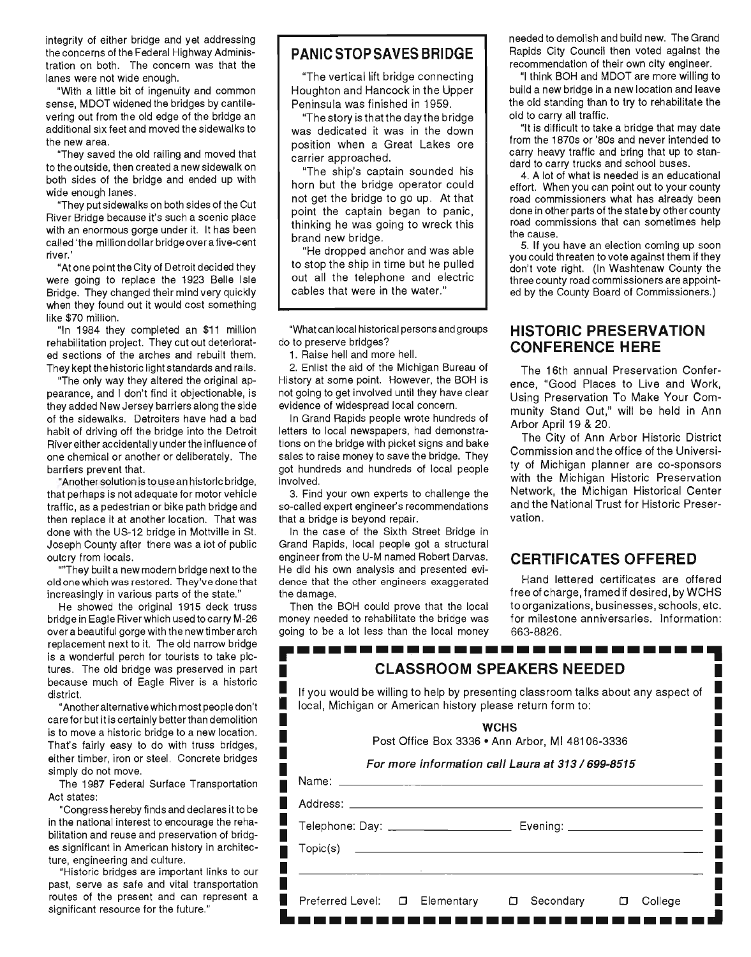integrity of either bridge and yet addressing the concerns of the Federal Highway Administration on both. The concern was that the lanes were not wide enough.

"With a little bit of ingenuity and common sense, MDOT widened the bridges by cantilevering out from the old edge of the bridge an additional six feet and moved the sidewalks to the new area.

"They saved the old railing and moved that to the outside, then created a new sidewalk on both sides of the bridge and ended up with wide enough lanes.

"They put sidewalks on both sides of the Cut River Bridge because it's such a scenic place with an enormous gorge under it. It has been called 'the million dollar bridge over a five-cent river.'

"At one point the City of Detroit decided they were going to replace the 1923 Belle Isle Bridge. They changed their mind very quickly when they found out it would cost something like \$70 million.

"In 1984 they completed an \$11 million rehabilitation project. They cut out deteriorated sections of the arches and rebuilt them. They kept the historic light standards and rails.

"The only way they altered the original appearance, and I don't find it objectionable, is they added New Jersey barriers along the side of the sidewalks. Detroiters have had a bad habit of driving off the bridge into the Detroit River either accidentally under the influence of one chemical or another or deliberately. The barriers prevent that.

"Another solution is to use an historic bridge, that perhaps is not adequate for motor vehicle traffic, as a pedestrian or bike path bridge and then replace it at another location. That was done with the US-12 bridge in Mottville in st. Joseph County after there was a lot of public outcry from locals.

""They built a new modern bridge next to the old one which was restored. They've done that increasingly in various parts of the state."

He showed the original 1915 deck truss bridge in Eagle River which used to carry M-26 over a beautiful gorge with the new timber arch replacement next to it. The old narrow bridge is a wonderful perch for tourists to take pictures. The old bridge was preserved in part because much of Eagle River is a historic district.

"Another alternative which most people don't care for but it is certainly better than demolition is to move a historic bridge to a new location. That's fairly easy to do with truss bridges, either timber, iron or steel. Concrete bridges simply do not move.

The 1987 Federal Surface Transportation Act states:

"Congress hereby finds and declares it to be in the national interest to encourage the rehabilitation and reuse and preservation of bridges significant in American history in architecture, engineering and culture.

"Historic bridges are important links to our past, serve as safe and vital transportation routes of the present and can represent a significant resource for the future."

#### **PANIC STOP SAVES BRI DGE**

"The vertical lift bridge connecting Houghton and Hancock in the Upper Peninsula was finished in 1959.

"The story is thatthe day the bridge was dedicated it was in the down position when a Great Lakes ore carrier approached.

"The ship's captain sounded his horn but the bridge operator could not get the bridge to go up. At that point the captain began to panic, thinking he was going to wreck this brand new bridge.

"He dropped anchor and was able to stop the ship in time but he pulled out all the telephone and electric cables that were in the water."

"What can local historical persons and groups do to preserve bridges?

1. Raise hell and more hell.

2. Enlist the aid of the Michigan Bureau of History at some point. However, the BOH is not going to get involved until they have clear evidence of widespread local concern.

In Grand Rapids people wrote hundreds of letters to local newspapers, had demonstrations on the bridge with picket signs and bake sales to raise money to save the bridge. They got hundreds and hundreds of local people involved.

3. Find your own experts to challenge the so-called expert engineer's recommendations that a bridge is beyond repair.

In the case of the Sixth Street Bridge in Grand Rapids, local people got a structural engineer from the U-M named Robert Darvas. He did his own analysis and presented evidence that the other engineers exaggerated the damage.

Then the BOH could prove that the local money needed to rehabilitate the bridge was going to be a lot less than the local money needed to demolish and build new. The Grand Rapids City Council then voted against the recommendation of their own city engineer.

"I think BOH and MDOT are more willing to build a new bridge in a new location and leave the old standing than to try to rehabilitate the old to carry all traffic.

"It is difficult to take a bridge that may date from the 1870s or '80s and never intended to carry heavy traffic and bring that up to standard to carry trucks and school buses.

4. A lot of what is needed is an educational effort. When you can point out to your county road commissioners what has already been done in other parts of the state by other county road commissions that can sometimes help the cause.

5. If you have an election coming up soon you could threaten to vote against them if they don't vote right. (In Washtenaw County the three county road commissioners are appointed by the County Board of Commissioners.)

# **HISTORIC PRESERVATION CONFERENCE HERE**

The 16th annual Preservation Conference, "Good Places to Live and Work, Using Preservation To Make Your Community Stand Out," will be held in Ann Arbor April 19 & 20.

The City of Ann Arbor Historic District Commission and the office of the University of Michigan planner are co-sponsors with the Michigan Historic Preservation Network, the Michigan Historical Center and the National Trust for Historic Preservation .

## **CERTIFICATES OFFERED**

Hand lettered certificates are offered free of charge, framed if desired, by WCHS to organizations, businesses, schools, etc. for milestone anniversaries. Information: 663-8826.

|                              | local, Michigan or American history please return form to: | If you would be willing to help by presenting classroom talks about any aspect of |  |
|------------------------------|------------------------------------------------------------|-----------------------------------------------------------------------------------|--|
|                              |                                                            | <b>WCHS</b><br>Post Office Box 3336 • Ann Arbor, MI 48106-3336                    |  |
|                              |                                                            | For more information call Laura at 313 / 699-8515                                 |  |
|                              |                                                            |                                                                                   |  |
|                              |                                                            |                                                                                   |  |
|                              |                                                            | Telephone: Day: ___________________________________ Evening: ___________________  |  |
| $\mathsf{Topic}(\mathbf{s})$ |                                                            |                                                                                   |  |